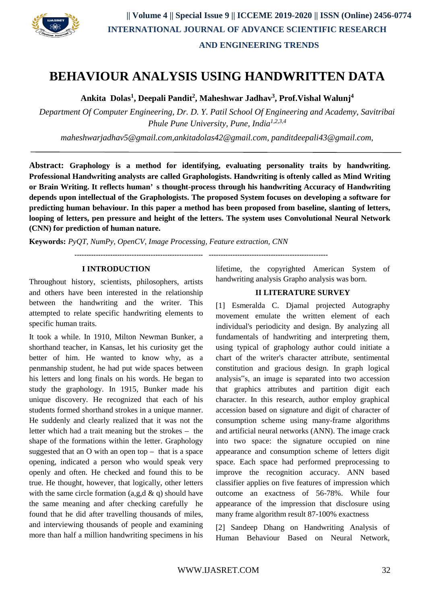

# **BEHAVIOUR ANALYSIS USING HANDWRITTEN DATA**

**Ankita Dolas<sup>1</sup> , Deepali Pandit<sup>2</sup> , Maheshwar Jadhav<sup>3</sup> , Prof.Vishal Walunj<sup>4</sup>**

*Department Of Computer Engineering, Dr. D. Y. Patil School Of Engineering and Academy, Savitribai Phule Pune University, Pune, India1,2,3,4*

*maheshwarjadhav5@gmail.com,ankitadolas42@gmail.com, panditdeepali43@gmail.com,*

**Abstract: Graphology is a method for identifying, evaluating personality traits by handwriting. Professional Handwriting analysts are called Graphologists. Handwriting is oftenly called as Mind Writing or Brain Writing. It reflects human' s thought-process through his handwriting Accuracy of Handwriting depends upon intellectual of the Graphologists. The proposed System focuses on developing a software for predicting human behaviour. In this paper a method has been proposed from baseline, slanting of letters, looping of letters, pen pressure and height of the letters. The system uses Convolutional Neural Network (CNN) for prediction of human nature.**

**Keywords:** *PyQT, NumPy, OpenCV, Image Processing, Feature extraction, CNN*

**------------------------------------------------------ --------------------------------------------------**

#### **I INTRODUCTION**

Throughout history, scientists, philosophers, artists and others have been interested in the relationship between the handwriting and the writer. This attempted to relate specific handwriting elements to specific human traits.

It took a while. In 1910, Milton Newman Bunker, a shorthand teacher, in Kansas, let his curiosity get the better of him. He wanted to know why, as a penmanship student, he had put wide spaces between his letters and long finals on his words. He began to study the graphology. In 1915, Bunker made his unique discovery. He recognized that each of his students formed shorthand strokes in a unique manner. He suddenly and clearly realized that it was not the letter which had a trait meaning but the strokes – the shape of the formations within the letter. Graphology suggested that an O with an open top – that is a space opening, indicated a person who would speak very openly and often. He checked and found this to be true. He thought, however, that logically, other letters with the same circle formation (a,g,d  $\&$  q) should have the same meaning and after checking carefully he found that he did after travelling thousands of miles, and interviewing thousands of people and examining more than half a million handwriting specimens in his

lifetime, the copyrighted American System of handwriting analysis Grapho analysis was born.

#### **II LITERATURE SURVEY**

[1] Esmeralda C. Djamal projected Autography movement emulate the written element of each individual's periodicity and design. By analyzing all fundamentals of handwriting and interpreting them, using typical of graphology author could initiate a chart of the writer's character attribute, sentimental constitution and gracious design. In graph logical analysis"s, an image is separated into two accession that graphics attributes and partition digit each character. In this research, author employ graphical accession based on signature and digit of character of consumption scheme using many-frame algorithms and artificial neural networks (ANN). The image crack into two space: the signature occupied on nine appearance and consumption scheme of letters digit space. Each space had performed preprocessing to improve the recognition accuracy. ANN based classifier applies on five features of impression which outcome an exactness of 56-78%. While four appearance of the impression that disclosure using many frame algorithm result 87-100% exactness

[2] Sandeep Dhang on Handwriting Analysis of Human Behaviour Based on Neural Network,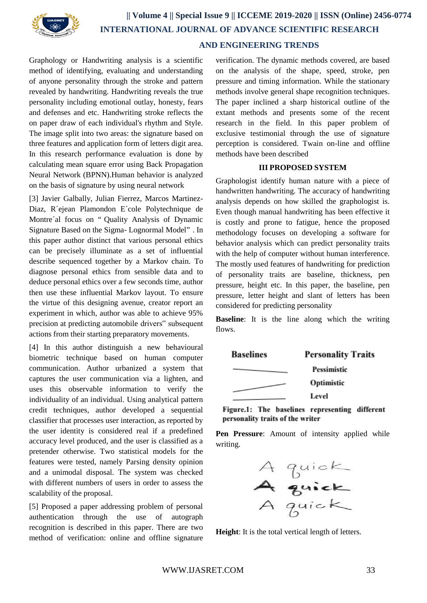

# **AND ENGINEERING TRENDS**

Graphology or Handwriting analysis is a scientific method of identifying, evaluating and understanding of anyone personality through the stroke and pattern revealed by handwriting. Handwriting reveals the true personality including emotional outlay, honesty, fears and defenses and etc. Handwriting stroke reflects the on paper draw of each individual's rhythm and Style. The image split into two areas: the signature based on three features and application form of letters digit area. In this research performance evaluation is done by calculating mean square error using Back Propagation Neural Network (BPNN).Human behavior is analyzed on the basis of signature by using neural network

[3] Javier Galbally, Julian Fierrez, Marcos Martinez-Diaz, R´ejean Plamondon E´cole Polytechnique de Montre´al focus on " Quality Analysis of Dynamic Signature Based on the Sigma- Lognormal Model" . In this paper author distinct that various personal ethics can be precisely illuminate as a set of influential describe sequenced together by a Markov chain. To diagnose personal ethics from sensible data and to deduce personal ethics over a few seconds time, author then use these influential Markov layout. To ensure the virtue of this designing avenue, creator report an experiment in which, author was able to achieve 95% precision at predicting automobile drivers" subsequent actions from their starting preparatory movements.

[4] In this author distinguish a new behavioural biometric technique based on human computer communication. Author urbanized a system that captures the user communication via a lighten, and uses this observable information to verify the individuality of an individual. Using analytical pattern credit techniques, author developed a sequential classifier that processes user interaction, as reported by the user identity is considered real if a predefined accuracy level produced, and the user is classified as a pretender otherwise. Two statistical models for the features were tested, namely Parsing density opinion and a unimodal disposal. The system was checked with different numbers of users in order to assess the scalability of the proposal.

[5] Proposed a paper addressing problem of personal authentication through the use of autograph recognition is described in this paper. There are two method of verification: online and offline signature verification. The dynamic methods covered, are based on the analysis of the shape, speed, stroke, pen pressure and timing information. While the stationary methods involve general shape recognition techniques. The paper inclined a sharp historical outline of the extant methods and presents some of the recent research in the field. In this paper problem of exclusive testimonial through the use of signature perception is considered. Twain on-line and offline methods have been described

#### **III PROPOSED SYSTEM**

Graphologist identify human nature with a piece of handwritten handwriting. The accuracy of handwriting analysis depends on how skilled the graphologist is. Even though manual handwriting has been effective it is costly and prone to fatigue, hence the proposed methodology focuses on developing a software for behavior analysis which can predict personality traits with the help of computer without human interference. The mostly used features of handwriting for prediction of personality traits are baseline, thickness, pen pressure, height etc. In this paper, the baseline, pen pressure, letter height and slant of letters has been considered for predicting personality

**Baseline**: It is the line along which the writing flows.



Figure.1: The baselines representing different personality traits of the writer

**Pen Pressure**: Amount of intensity applied while writing.



**Height**: It is the total vertical length of letters.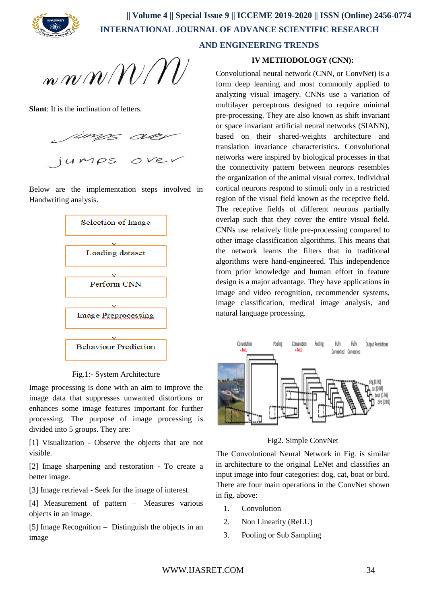

 **AND ENGINEERING TRENDS**

n n $m$ N $\ell$ N $\ell$ 

**Slant**: It is the inclination of letters.



Below are the implementation steps involved in Handwriting analysis.



Fig.1:- System Architecture

Image processing is done with an aim to improve the image data that suppresses unwanted distortions or enhances some image features important for further processing. The purpose of image processing is divided into 5 groups. They are:

[1] Visualization - Observe the objects that are not visible.

[2] Image sharpening and restoration - To create a better image.

[3] Image retrieval - Seek for the image of interest.

[4] Measurement of pattern – Measures various objects in an image.

[5] Image Recognition – Distinguish the objects in an image

# **IV METHODOLOGY (CNN):**

Convolutional neural network (CNN, or ConvNet) is a form deep learning and most commonly applied to analyzing visual imagery. CNNs use a variation of multilayer perceptrons designed to require minimal pre-processing. They are also known as shift invariant or space invariant artificial neural networks (SIANN), based on their shared-weights architecture and translation invariance characteristics. Convolutional networks were inspired by biological processes in that the connectivity pattern between neurons resembles the organization of the animal visual cortex. Individual cortical neurons respond to stimuli only in a restricted region of the visual field known as the receptive field. The receptive fields of different neurons partially overlap such that they cover the entire visual field. CNNs use relatively little pre-processing compared to other image classification algorithms. This means that the network learns the filters that in traditional algorithms were hand-engineered. This independence from prior knowledge and human effort in feature design is a major advantage. They have applications in image and video recognition, recommender systems, image classification, medical image analysis, and natural language processing.



Fig2. Simple ConvNet

The Convolutional Neural Network in Fig. is similar in architecture to the original LeNet and classifies an input image into four categories: dog, cat, boat or bird. There are four main operations in the ConvNet shown in fig. above:

- 1. Convolution
- 2. Non Linearity (ReLU)
- 3. Pooling or Sub Sampling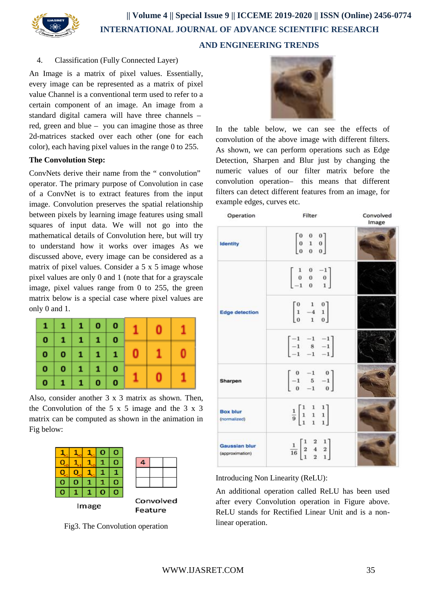

# 4. Classification (Fully Connected Layer)

An Image is a matrix of pixel values. Essentially, every image can be represented as a matrix of pixel value Channel is a conventional term used to refer to a certain component of an image. An image from a standard digital camera will have three channels – red, green and blue – you can imagine those as three 2d-matrices stacked over each other (one for each color), each having pixel values in the range 0 to 255.

### **The Convolution Step:**

ConvNets derive their name from the " convolution" operator. The primary purpose of Convolution in case of a ConvNet is to extract features from the input image. Convolution preserves the spatial relationship between pixels by learning image features using small squares of input data. We will not go into the mathematical details of Convolution here, but will try to understand how it works over images As we discussed above, every image can be considered as a matrix of pixel values. Consider a 5 x 5 image whose pixel values are only 0 and 1 (note that for a grayscale image, pixel values range from 0 to 255, the green matrix below is a special case where pixel values are only 0 and 1.



Also, consider another 3 x 3 matrix as shown. Then, the Convolution of the 5 x 5 image and the 3 x 3 matrix can be computed as shown in the animation in Fig below:



Fig3. The Convolution operation



In the table below, we can see the effects of convolution of the above image with different filters. As shown, we can perform operations such as Edge Detection, Sharpen and Blur just by changing the numeric values of our filter matrix before the convolution operation– this means that different filters can detect different features from an image, for example edges, curves etc.

| Operation                        | Filter                                                                              | Convolved<br>Image |
|----------------------------------|-------------------------------------------------------------------------------------|--------------------|
| <b>Identity</b>                  | $\begin{bmatrix} 0 & 0 & 0 \\ 0 & 1 & 0 \\ 0 & 0 & 0 \\ \end{bmatrix}$              |                    |
| <b>Edge detection</b>            | $\left[ \begin{array}{ccc} 1 & 0 & -1 \ 0 & 0 & 0 \ -1 & 0 & 1 \end{array} \right]$ |                    |
|                                  | $\begin{bmatrix} 0 & 1 & 0 \\ 1 & -4 & 1 \\ 0 & 1 & 0 \end{bmatrix}$                |                    |
|                                  | $\begin{bmatrix} -1 & -1 & -1 \\ -1 & 8 & -1 \\ -1 & -1 & -1 \end{bmatrix}$         |                    |
| Sharpen                          | $\begin{bmatrix} 0 & -1 & 0 \\ -1 & 5 & -1 \\ 0 & -1 & 0 \end{bmatrix}$             |                    |
| <b>Box blur</b><br>(normalized)  | $\frac{1}{9}$ $\begin{bmatrix} 1 & 1 & 1 \\ 1 & 1 & 1 \\ 1 & 1 & 1 \end{bmatrix}$   |                    |
| Gaussian blur<br>(approximation) | $\frac{1}{16}$ $\begin{bmatrix} 1 & 2 & 1 \\ 2 & 4 & 2 \\ 1 & 2 & 1 \end{bmatrix}$  |                    |

Introducing Non Linearity (ReLU):

An additional operation called ReLU has been used after every Convolution operation in Figure above. ReLU stands for Rectified Linear Unit and is a nonlinear operation.